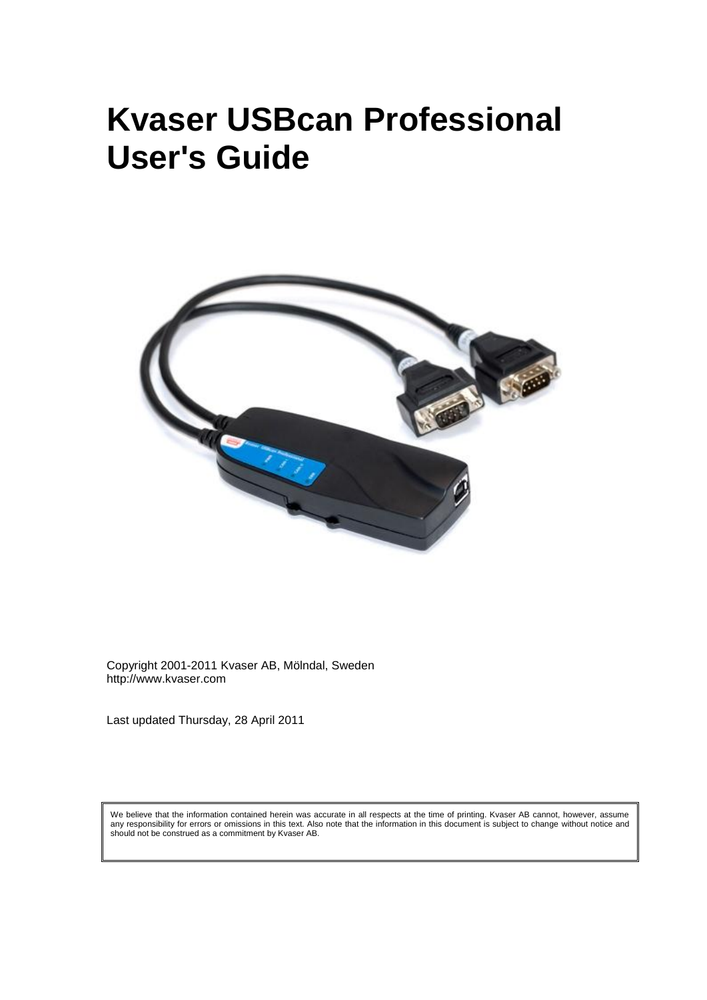# <span id="page-0-0"></span>**Kvaser USBcan Professional User's Guide**



Copyright 2001-2011 Kvaser AB, Mölndal, Sweden http://www.kvaser.com

Last updated Thursday, 28 April 2011

We believe that the information contained herein was accurate in all respects at the time of printing. Kvaser AB cannot, however, assume any responsibility for errors or omissions in this text. Also note that the information in this document is subject to change without notice and should not be construed as a commitment by Kvaser AB.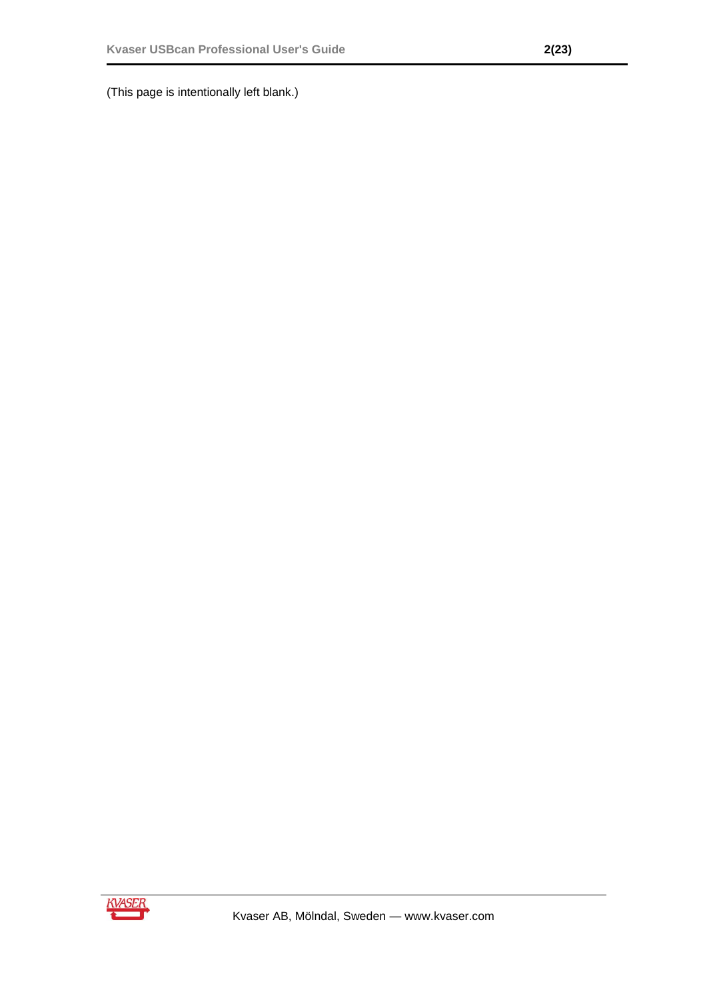(This page is intentionally left blank.)

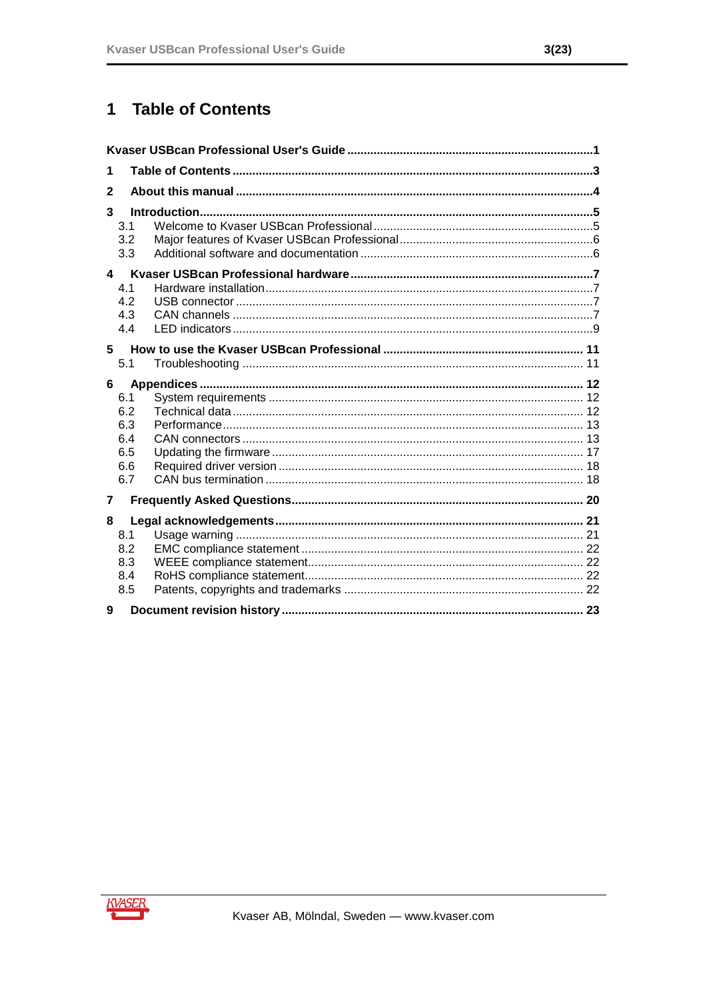#### <span id="page-2-0"></span>**Table of Contents**  $\mathbf 1$

| 1                |  |  |  |
|------------------|--|--|--|
| $\mathbf{2}$     |  |  |  |
| 3                |  |  |  |
| 3.1              |  |  |  |
| 3.2              |  |  |  |
| 3.3              |  |  |  |
| $\blacktriangle$ |  |  |  |
| 4.1              |  |  |  |
| 4.2              |  |  |  |
| 4.3<br>4.4       |  |  |  |
|                  |  |  |  |
| 5                |  |  |  |
| 5.1              |  |  |  |
| 6                |  |  |  |
| 6.1              |  |  |  |
| 6.2              |  |  |  |
| 6.3<br>6.4       |  |  |  |
| 6.5              |  |  |  |
| 6.6              |  |  |  |
| 6.7              |  |  |  |
| 7                |  |  |  |
| 8                |  |  |  |
| 8.1              |  |  |  |
| 8.2              |  |  |  |
| 8.3              |  |  |  |
| 8.4              |  |  |  |
| 8.5              |  |  |  |
| 9                |  |  |  |

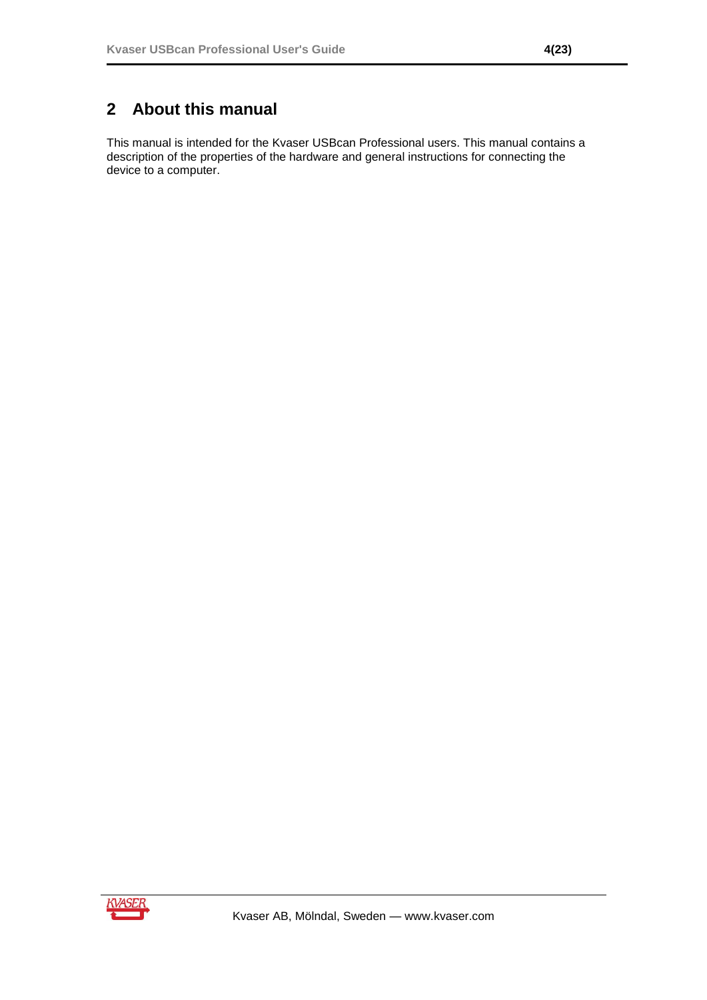# <span id="page-3-0"></span>**2 About this manual**

This manual is intended for the Kvaser USBcan Professional users. This manual contains a description of the properties of the hardware and general instructions for connecting the device to a computer.

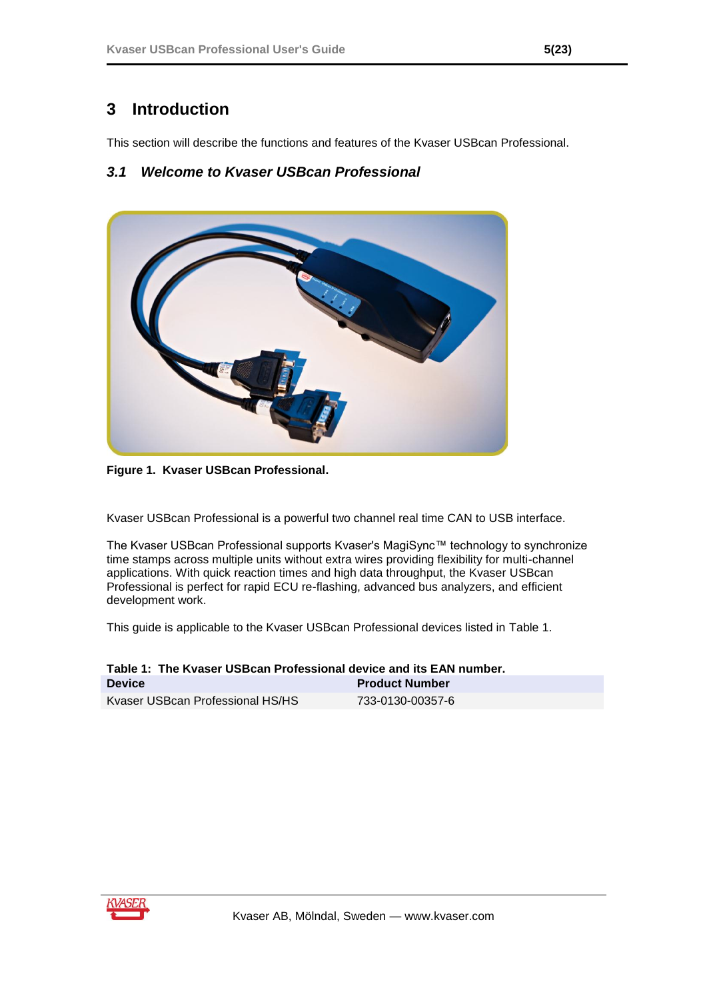# <span id="page-4-0"></span>**3 Introduction**

This section will describe the functions and features of the Kvaser USBcan Professional.

#### <span id="page-4-1"></span>*3.1 Welcome to Kvaser USBcan Professional*



**Figure 1. Kvaser USBcan Professional.** 

Kvaser USBcan Professional is a powerful two channel real time CAN to USB interface.

The Kvaser USBcan Professional supports Kvaser's MagiSync™ technology to synchronize time stamps across multiple units without extra wires providing flexibility for multi-channel applications. With quick reaction times and high data throughput, the Kvaser USBcan Professional is perfect for rapid ECU re-flashing, advanced bus analyzers, and efficient development work.

This guide is applicable to the Kvaser USBcan Professional devices listed in Table 1.

| Table 1: The Kyaser USBcan Professional device and its EAN number. |                       |
|--------------------------------------------------------------------|-----------------------|
| <b>Device</b>                                                      | <b>Product Number</b> |
| Kyaser USBcan Professional HS/HS                                   | 733-0130-00357-6      |

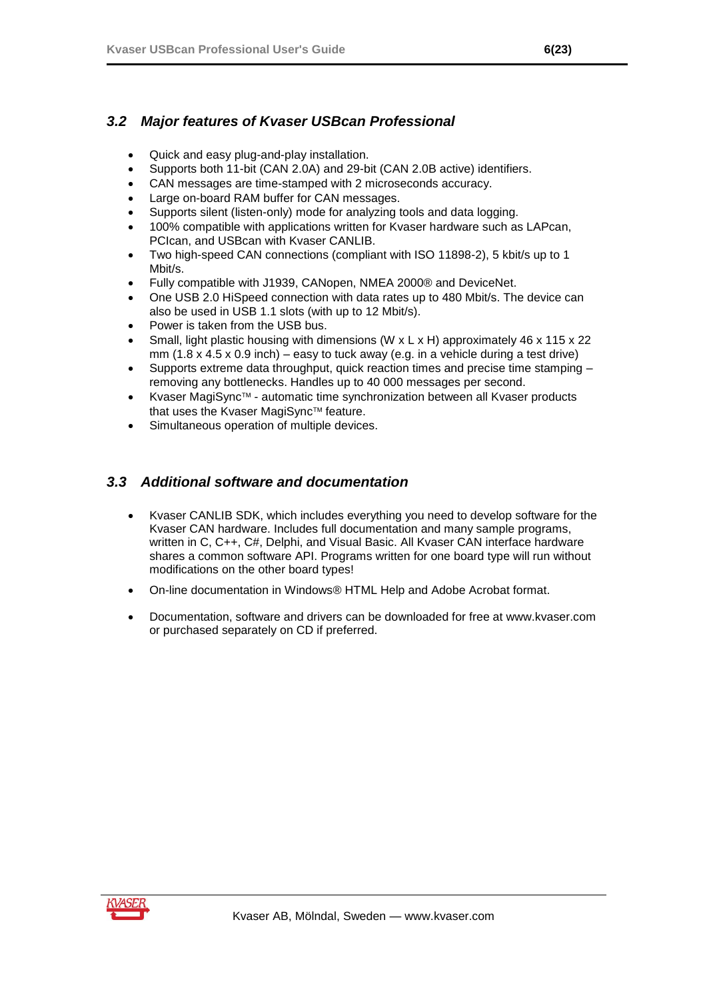#### <span id="page-5-0"></span>*3.2 Major features of Kvaser USBcan Professional*

- Quick and easy plug-and-play installation.
- Supports both 11-bit (CAN 2.0A) and 29-bit (CAN 2.0B active) identifiers.
- CAN messages are time-stamped with 2 microseconds accuracy.
- Large on-board RAM buffer for CAN messages.
- Supports silent (listen-only) mode for analyzing tools and data logging.
- 100% compatible with applications written for Kvaser hardware such as LAPcan, PCIcan, and USBcan with Kvaser CANLIB.
- Two high-speed CAN connections (compliant with ISO 11898-2), 5 kbit/s up to 1 Mbit/s.
- Fully compatible with J1939, CANopen, NMEA 2000® and DeviceNet.
- One USB 2.0 HiSpeed connection with data rates up to 480 Mbit/s. The device can also be used in USB 1.1 slots (with up to 12 Mbit/s).
- Power is taken from the USB bus.
- Small, light plastic housing with dimensions (W  $x$  L  $x$  H) approximately 46  $x$  115  $x$  22 mm (1.8 x 4.5 x 0.9 inch) – easy to tuck away (e.g. in a vehicle during a test drive)
- Supports extreme data throughput, quick reaction times and precise time stamping removing any bottlenecks. Handles up to 40 000 messages per second.
- Kvaser MagiSync™ automatic time synchronization between all Kvaser products that uses the Kvaser MagiSync™ feature.
- Simultaneous operation of multiple devices.

#### <span id="page-5-1"></span>*3.3 Additional software and documentation*

- Kvaser CANLIB SDK, which includes everything you need to develop software for the Kvaser CAN hardware. Includes full documentation and many sample programs, written in C, C++, C#, Delphi, and Visual Basic. All Kvaser CAN interface hardware shares a common software API. Programs written for one board type will run without modifications on the other board types!
- On-line documentation in Windows® HTML Help and Adobe Acrobat format.
- Documentation, software and drivers can be downloaded for free at www.kvaser.com or purchased separately on CD if preferred.

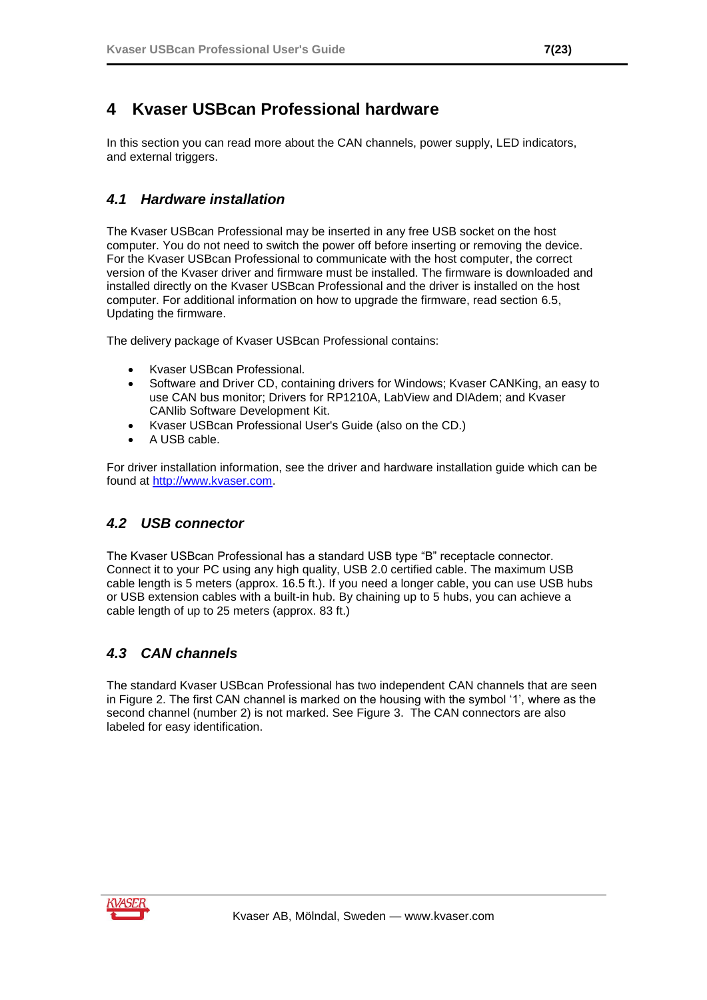# <span id="page-6-0"></span>**4 Kvaser USBcan Professional hardware**

In this section you can read more about the CAN channels, power supply, LED indicators, and external triggers.

#### <span id="page-6-1"></span>*4.1 Hardware installation*

The Kvaser USBcan Professional may be inserted in any free USB socket on the host computer. You do not need to switch the power off before inserting or removing the device. For the Kvaser USBcan Professional to communicate with the host computer, the correct version of the Kvaser driver and firmware must be installed. The firmware is downloaded and installed directly on the Kvaser USBcan Professional and the driver is installed on the host computer. For additional information on how to upgrade the firmware, read section [6.5,](#page-16-0) [Updating the firmware.](#page-16-0)

The delivery package of Kvaser USBcan Professional contains:

- Kvaser USBcan Professional.
- Software and Driver CD, containing drivers for Windows; Kvaser CANKing, an easy to use CAN bus monitor; Drivers for RP1210A, LabView and DIAdem; and Kvaser CANlib Software Development Kit.
- Kvaser USBcan Professional User's Guide (also on the CD.)
- A USB cable.

For driver installation information, see the driver and hardware installation guide which can be found at [http://www.kvaser.com.](http://www.kvaser.com/)

#### <span id="page-6-2"></span>*4.2 USB connector*

The Kvaser USBcan Professional has a standard USB type "B" receptacle connector. Connect it to your PC using any high quality, USB 2.0 certified cable. The maximum USB cable length is 5 meters (approx. 16.5 ft.). If you need a longer cable, you can use USB hubs or USB extension cables with a built-in hub. By chaining up to 5 hubs, you can achieve a cable length of up to 25 meters (approx. 83 ft.)

### <span id="page-6-3"></span>*4.3 CAN channels*

The standard Kvaser USBcan Professional has two independent CAN channels that are seen in Figure 2. The first CAN channel is marked on the housing with the symbol '1', where as the second channel (number 2) is not marked. See Figure 3. The CAN connectors are also labeled for easy identification.

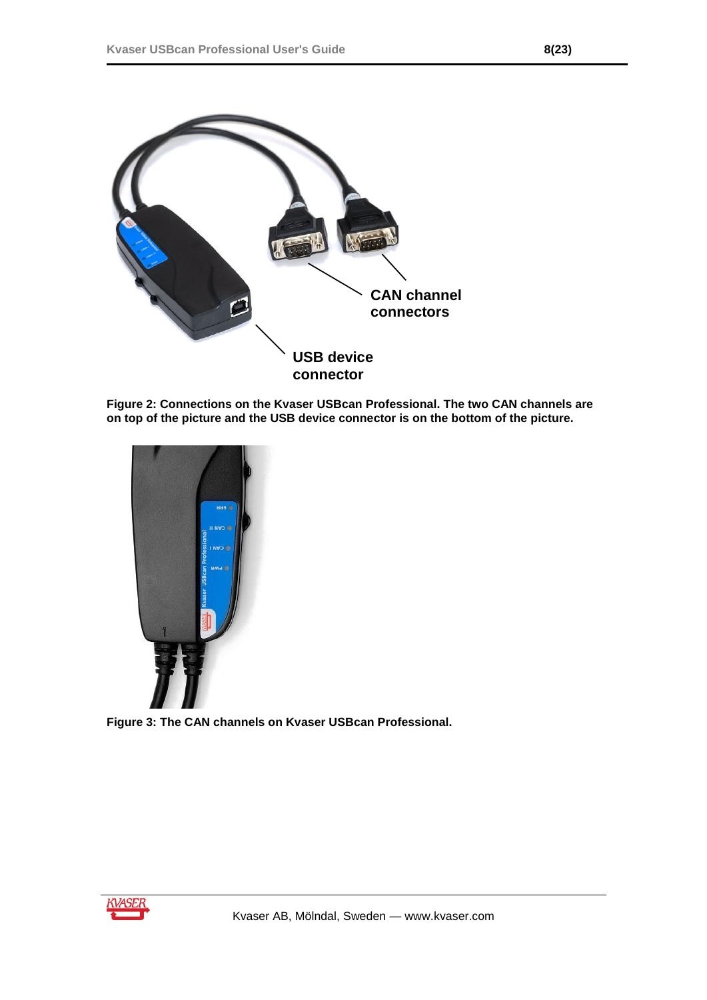

**Figure 2: Connections on the Kvaser USBcan Professional. The two CAN channels are on top of the picture and the USB device connector is on the bottom of the picture.**



**Figure 3: The CAN channels on Kvaser USBcan Professional.** 

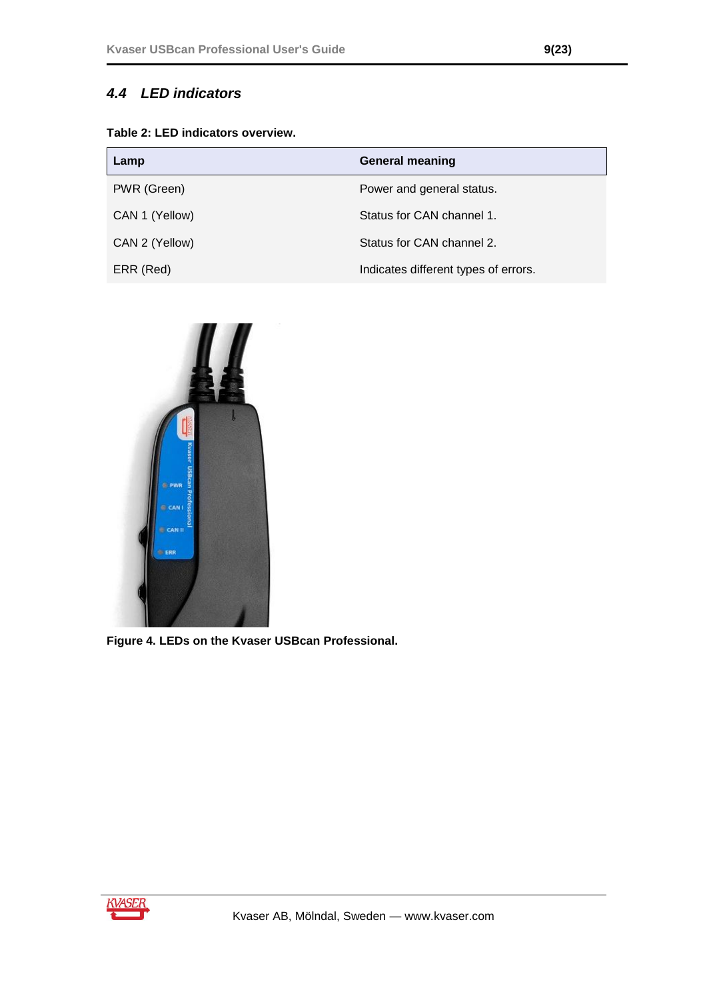### <span id="page-8-0"></span>*4.4 LED indicators*

<span id="page-8-1"></span>

| Lamp           | <b>General meaning</b>               |
|----------------|--------------------------------------|
| PWR (Green)    | Power and general status.            |
| CAN 1 (Yellow) | Status for CAN channel 1.            |
| CAN 2 (Yellow) | Status for CAN channel 2.            |
| ERR (Red)      | Indicates different types of errors. |



**Figure 4. LEDs on the Kvaser USBcan Professional.** 

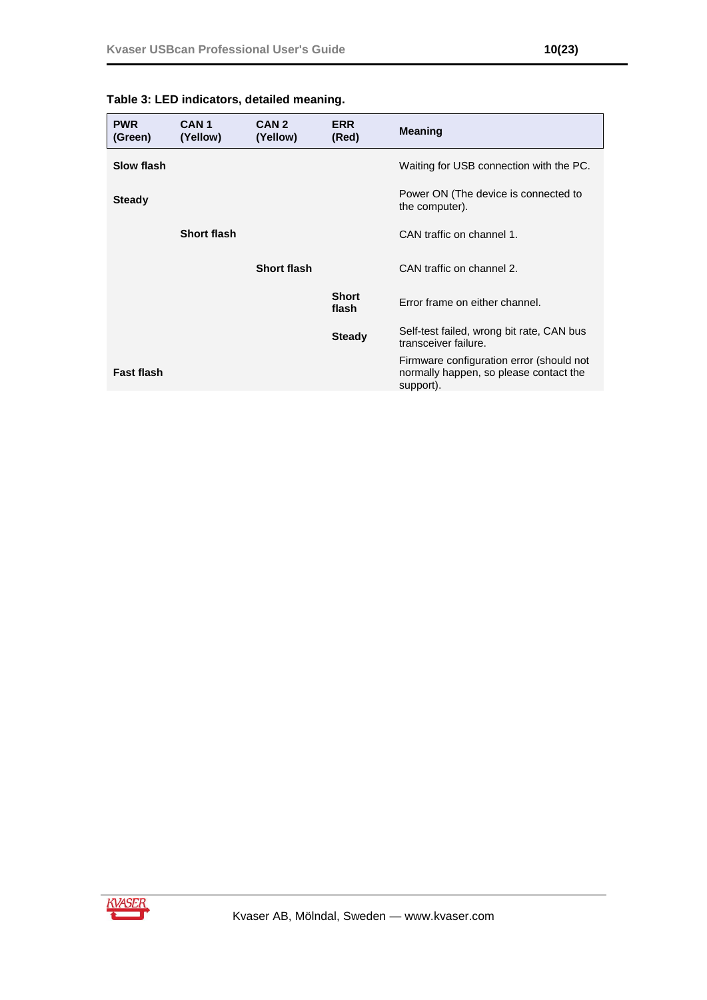| <b>PWR</b><br>(Green) | CAN <sub>1</sub><br>(Yellow) | CAN <sub>2</sub><br>(Yellow) | <b>ERR</b><br>(Red)   | <b>Meaning</b>                                                                                  |
|-----------------------|------------------------------|------------------------------|-----------------------|-------------------------------------------------------------------------------------------------|
| Slow flash            |                              |                              |                       | Waiting for USB connection with the PC.                                                         |
| <b>Steady</b>         |                              |                              |                       | Power ON (The device is connected to<br>the computer).                                          |
|                       | <b>Short flash</b>           |                              |                       | CAN traffic on channel 1.                                                                       |
|                       |                              | <b>Short flash</b>           |                       | CAN traffic on channel 2.                                                                       |
|                       |                              |                              | <b>Short</b><br>flash | Error frame on either channel.                                                                  |
|                       |                              |                              | <b>Steady</b>         | Self-test failed, wrong bit rate, CAN bus<br>transceiver failure.                               |
| <b>Fast flash</b>     |                              |                              |                       | Firmware configuration error (should not<br>normally happen, so please contact the<br>support). |

#### <span id="page-9-0"></span>**Table 3: LED indicators, detailed meaning.**

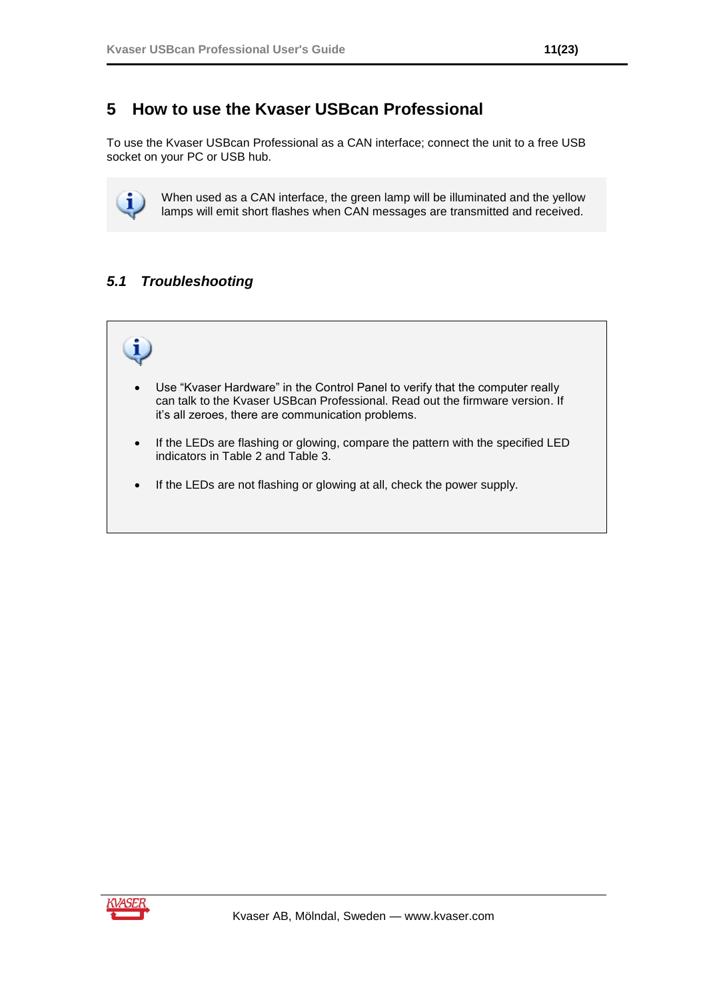## <span id="page-10-0"></span>**5 How to use the Kvaser USBcan Professional**

To use the Kvaser USBcan Professional as a CAN interface; connect the unit to a free USB socket on your PC or USB hub.



When used as a CAN interface, the green lamp will be illuminated and the yellow lamps will emit short flashes when CAN messages are transmitted and received.

### <span id="page-10-1"></span>*5.1 Troubleshooting*

# ĩ

- Use "Kvaser Hardware" in the Control Panel to verify that the computer really can talk to the Kvaser USBcan Professional. Read out the firmware version. If it's all zeroes, there are communication problems.
- If the LEDs are flashing or glowing, compare the pattern with the specified LED indicators in [Table 2](#page-8-1) and [Table 3.](#page-9-0)
- If the LEDs are not flashing or glowing at all, check the power supply.

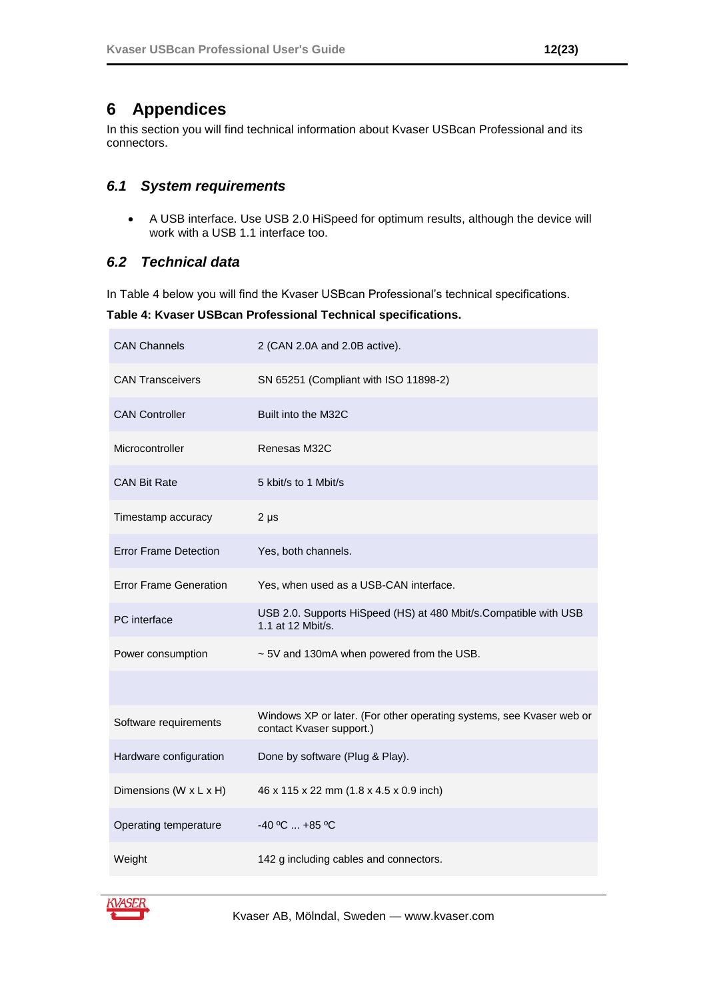# <span id="page-11-0"></span>**6 Appendices**

In this section you will find technical information about Kvaser USBcan Professional and its connectors.

#### <span id="page-11-1"></span>*6.1 System requirements*

 A USB interface. Use USB 2.0 HiSpeed for optimum results, although the device will work with a USB 1.1 interface too.

#### <span id="page-11-2"></span>*6.2 Technical data*

In [Table 4](#page-11-3) below you will find the Kvaser USBcan Professional's technical specifications.

<span id="page-11-3"></span>**Table 4: Kvaser USBcan Professional Technical specifications.**

| <b>CAN Channels</b>           | 2 (CAN 2.0A and 2.0B active).                                                                    |
|-------------------------------|--------------------------------------------------------------------------------------------------|
| <b>CAN Transceivers</b>       | SN 65251 (Compliant with ISO 11898-2)                                                            |
| <b>CAN Controller</b>         | Built into the M32C                                                                              |
| Microcontroller               | Renesas M32C                                                                                     |
| <b>CAN Bit Rate</b>           | 5 kbit/s to 1 Mbit/s                                                                             |
| Timestamp accuracy            | $2 \mu s$                                                                                        |
| <b>Error Frame Detection</b>  | Yes, both channels.                                                                              |
| <b>Error Frame Generation</b> | Yes, when used as a USB-CAN interface.                                                           |
| PC interface                  | USB 2.0. Supports HiSpeed (HS) at 480 Mbit/s. Compatible with USB<br>1.1 at 12 Mbit/s.           |
| Power consumption             | ~5V and 130mA when powered from the USB.                                                         |
|                               |                                                                                                  |
| Software requirements         | Windows XP or later. (For other operating systems, see Kvaser web or<br>contact Kvaser support.) |
| Hardware configuration        | Done by software (Plug & Play).                                                                  |
| Dimensions (W x L x H)        | 46 x 115 x 22 mm (1.8 x 4.5 x 0.9 inch)                                                          |
| Operating temperature         | $-40 °C  +85 °C$                                                                                 |
| Weight                        | 142 g including cables and connectors.                                                           |



Kvaser AB, Mölndal, Sweden — www.kvaser.com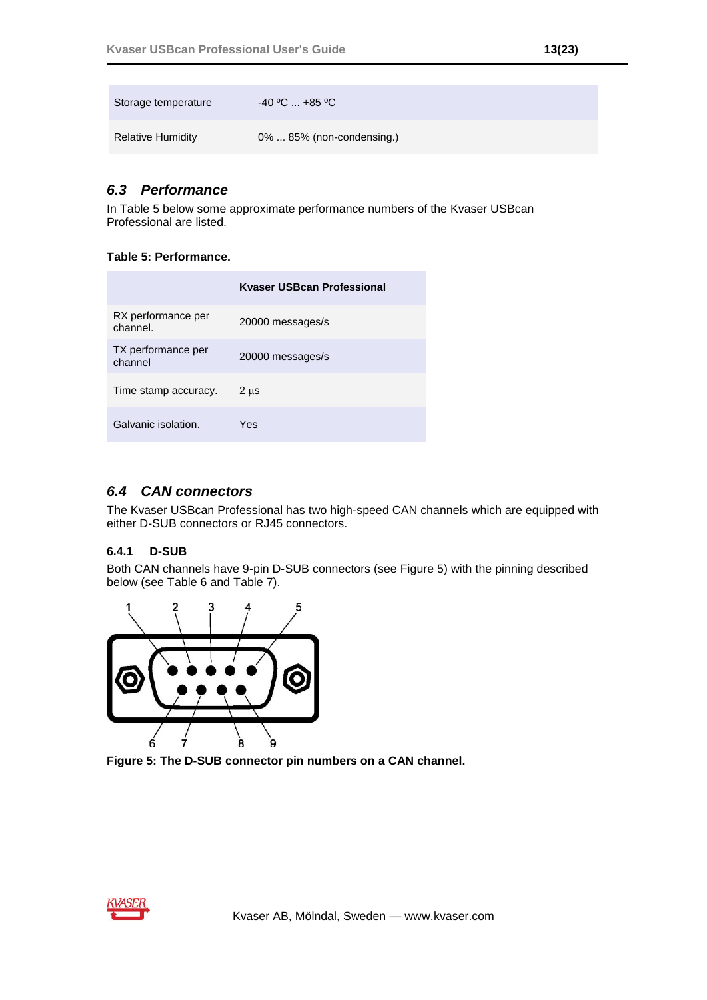| Storage temperature      | -40 ℃ … +85 ℃               |
|--------------------------|-----------------------------|
| <b>Relative Humidity</b> | $0\%$ 85% (non-condensing.) |

#### <span id="page-12-0"></span>*6.3 Performance*

In [Table 5](#page-12-2) below some approximate performance numbers of the Kvaser USBcan Professional are listed.

#### <span id="page-12-2"></span>**Table 5: Performance.**

|                                | Kvaser USBcan Professional |
|--------------------------------|----------------------------|
| RX performance per<br>channel. | 20000 messages/s           |
| TX performance per<br>channel  | 20000 messages/s           |
| Time stamp accuracy.           | $2 \mu s$                  |
| Galvanic isolation.            | Yes                        |

#### <span id="page-12-1"></span>*6.4 CAN connectors*

The Kvaser USBcan Professional has two high-speed CAN channels which are equipped with either D-SUB connectors or RJ45 connectors.

#### **6.4.1 D-SUB**

Both CAN channels have 9-pin D-SUB connectors (see [Figure 5\)](#page-12-3) with the pinning described below (see [Table 6](#page-13-0) and [Table 7\)](#page-13-1).



<span id="page-12-3"></span>**Figure 5: The D-SUB connector pin numbers on a CAN channel.**

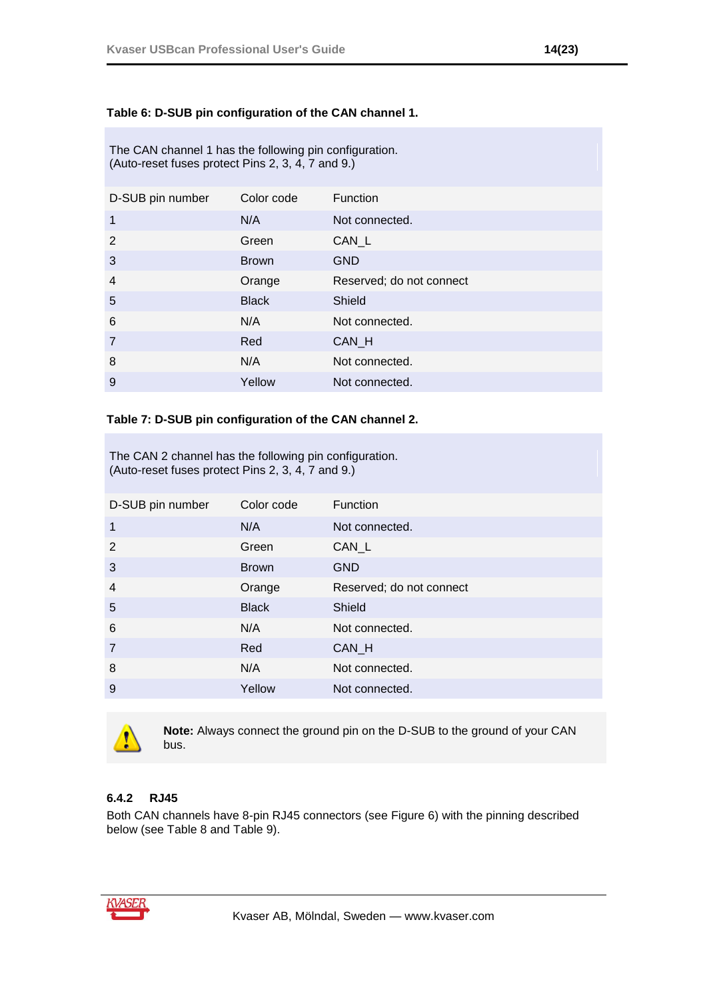#### <span id="page-13-0"></span>**Table 6: D-SUB pin configuration of the CAN channel 1.**

The CAN channel 1 has the following pin configuration. (Auto-reset fuses protect Pins 2, 3, 4, 7 and 9.)

| D-SUB pin number | Color code   | <b>Function</b>          |
|------------------|--------------|--------------------------|
| 1                | N/A          | Not connected.           |
| 2                | Green        | CAN L                    |
| 3                | <b>Brown</b> | <b>GND</b>               |
| $\overline{4}$   | Orange       | Reserved; do not connect |
| 5                | <b>Black</b> | Shield                   |
| 6                | N/A          | Not connected.           |
| $\overline{7}$   | Red          | CAN H                    |
| 8                | N/A          | Not connected.           |
| 9                | Yellow       | Not connected.           |
|                  |              |                          |

#### <span id="page-13-1"></span>**Table 7: D-SUB pin configuration of the CAN channel 2.**

The CAN 2 channel has the following pin configuration. (Auto-reset fuses protect Pins 2, 3, 4, 7 and 9.)

| D-SUB pin number | Color code   | Function                 |
|------------------|--------------|--------------------------|
| 1                | N/A          | Not connected.           |
| 2                | Green        | CAN_L                    |
| 3                | <b>Brown</b> | <b>GND</b>               |
| $\overline{4}$   | Orange       | Reserved; do not connect |
| 5                | <b>Black</b> | Shield                   |
| 6                | N/A          | Not connected.           |
| $\overline{7}$   | Red          | CAN_H                    |
| 8                | N/A          | Not connected.           |
| 9                | Yellow       | Not connected.           |
|                  |              |                          |



**Note:** Always connect the ground pin on the D-SUB to the ground of your CAN bus.

#### **6.4.2 RJ45**

Both CAN channels have 8-pin RJ45 connectors (see [Figure 6\)](#page-14-0) with the pinning described below (see [Table 8](#page-15-0) and [Table 9\)](#page-15-1).

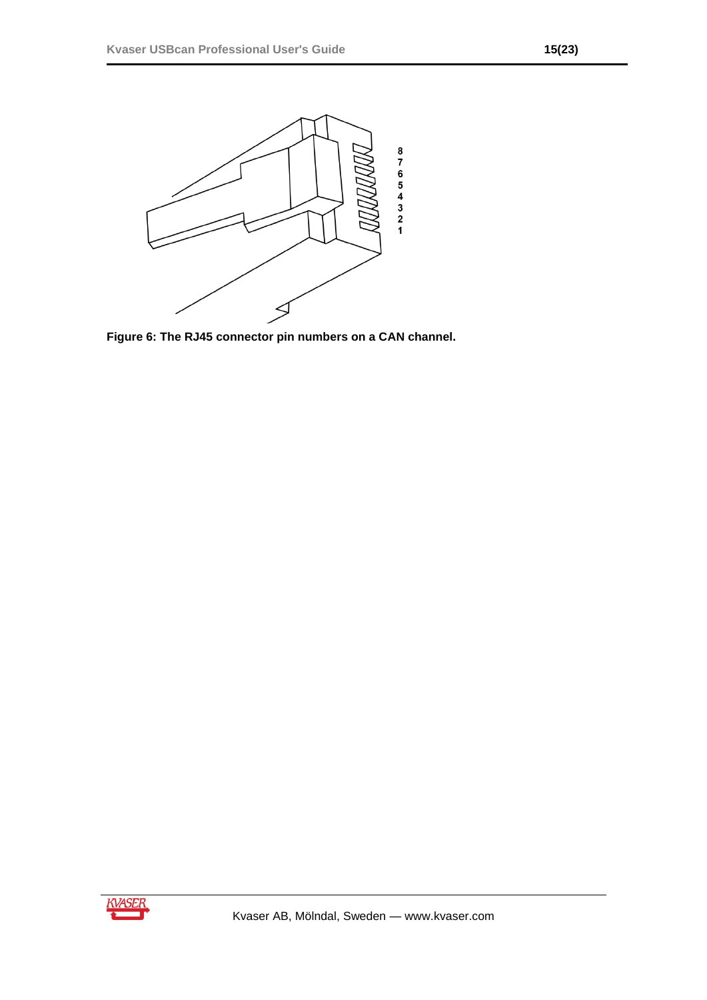

<span id="page-14-0"></span>**Figure 6: The RJ45 connector pin numbers on a CAN channel.**

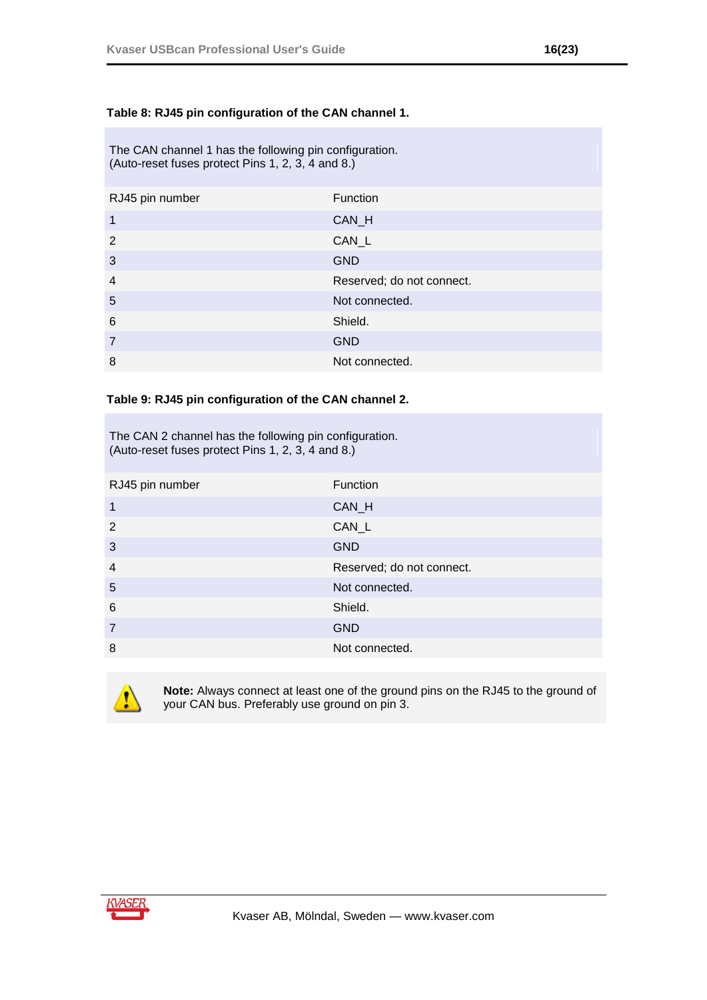#### <span id="page-15-0"></span>**Table 8: RJ45 pin configuration of the CAN channel 1.**

The CAN channel 1 has the following pin configuration. (Auto-reset fuses protect Pins 1, 2, 3, 4 and 8.)

| RJ45 pin number | Function                  |
|-----------------|---------------------------|
| 1               | CAN_H                     |
| 2               | $CAN_L$                   |
| 3               | <b>GND</b>                |
| $\overline{4}$  | Reserved; do not connect. |
| 5               | Not connected.            |
| 6               | Shield.                   |
| $\overline{7}$  | <b>GND</b>                |
| 8               | Not connected.            |
|                 |                           |

#### <span id="page-15-1"></span>**Table 9: RJ45 pin configuration of the CAN channel 2.**

The CAN 2 channel has the following pin configuration. (Auto-reset fuses protect Pins 1, 2, 3, 4 and 8.)

| RJ45 pin number | Function                  |
|-----------------|---------------------------|
| 1               | CAN_H                     |
| 2               | CAN_L                     |
| 3               | <b>GND</b>                |
| $\overline{4}$  | Reserved; do not connect. |
| 5               | Not connected.            |
| 6               | Shield.                   |
| $\overline{7}$  | <b>GND</b>                |
| 8               | Not connected.            |
|                 |                           |



**Note:** Always connect at least one of the ground pins on the RJ45 to the ground of your CAN bus. Preferably use ground on pin 3.

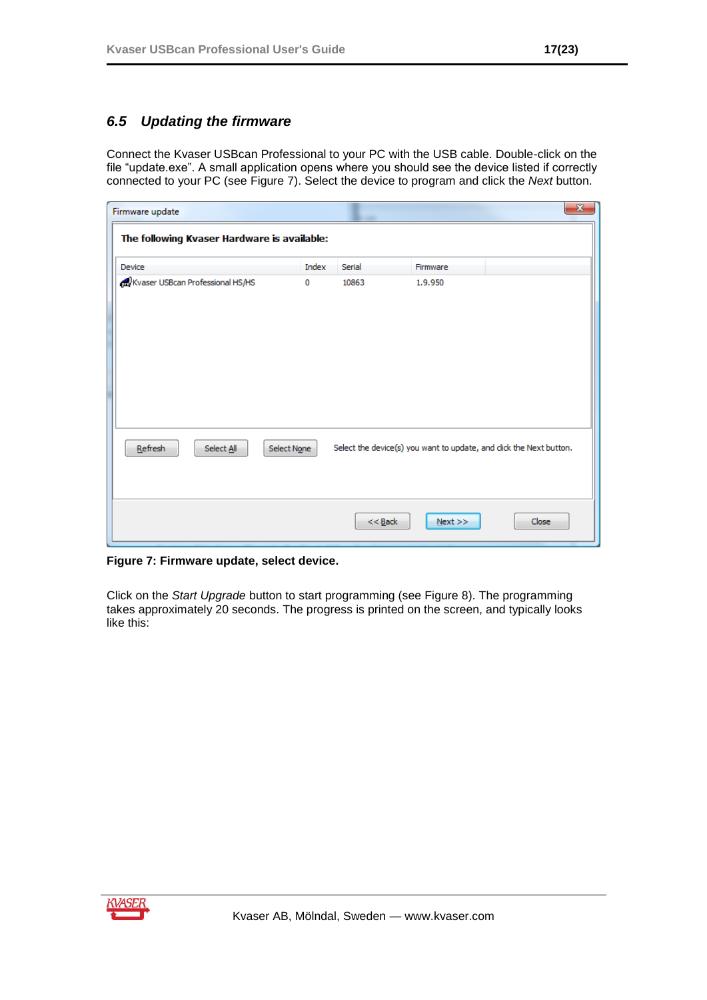#### <span id="page-16-0"></span>*6.5 Updating the firmware*

Connect the Kvaser USBcan Professional to your PC with the USB cable. Double-click on the file "update.exe". A small application opens where you should see the device listed if correctly connected to your PC (see [Figure 7\)](#page-16-1). Select the device to program and click the *Next* button.

| Firmware update                             |             | m         |          |  | $\mathbf{x}$                                                        |  |  |
|---------------------------------------------|-------------|-----------|----------|--|---------------------------------------------------------------------|--|--|
| The following Kvaser Hardware is available: |             |           |          |  |                                                                     |  |  |
| Device                                      | Index       | Serial    | Firmware |  |                                                                     |  |  |
| Kvaser USBcan Professional HS/HS            | 0           | 10863     | 1.9.950  |  |                                                                     |  |  |
| Refresh<br>Select All                       | Select None |           |          |  | Select the device(s) you want to update, and click the Next button. |  |  |
|                                             |             | $<<$ Back | Next     |  | Close                                                               |  |  |

#### <span id="page-16-1"></span>**Figure 7: Firmware update, select device.**

Click on the *Start Upgrade* button to start programming (see [Figure 8\)](#page-17-2). The programming takes approximately 20 seconds. The progress is printed on the screen, and typically looks like this:

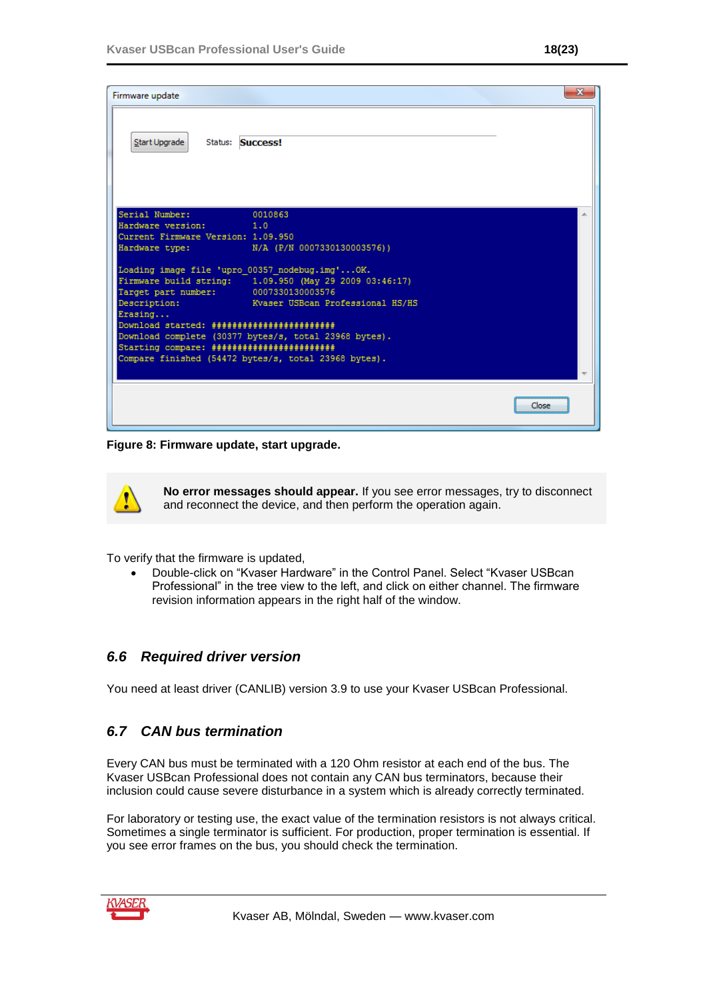| $\mathbf{x}$<br>Firmware update                                                                                                                                                                                     |  |
|---------------------------------------------------------------------------------------------------------------------------------------------------------------------------------------------------------------------|--|
| Start Upgrade<br>Status: Success!                                                                                                                                                                                   |  |
| Serial Number:<br>0010863<br>Hardware version:<br>1.0<br>Current Firmware Version: 1.09.950<br>Hardware type: N/A (P/N 0007330130003576))                                                                           |  |
| Loading image file 'upro 00357 nodebug.img' OK.<br>Firmware build string: 1.09.950 (May 29 2009 03:46:17)<br>Target part number: 0007330130003576<br>Description:<br>Kvaser USBcan Professional HS/HS               |  |
| Erasing<br>Download started: ########################<br>Download complete (30377 bytes/s, total 23968 bytes).<br>Starting compare: #######################<br>Compare finished (54472 bytes/s, total 23968 bytes). |  |
| Close                                                                                                                                                                                                               |  |

<span id="page-17-2"></span>**Figure 8: Firmware update, start upgrade.**



**No error messages should appear.** If you see error messages, try to disconnect and reconnect the device, and then perform the operation again.

To verify that the firmware is updated,

Double-click on "Kvaser Hardware" in the Control Panel. Select "Kvaser USBcan Professional‖ in the tree view to the left, and click on either channel. The firmware revision information appears in the right half of the window.

#### <span id="page-17-0"></span>*6.6 Required driver version*

You need at least driver (CANLIB) version 3.9 to use your Kvaser USBcan Professional.

#### <span id="page-17-1"></span>*6.7 CAN bus termination*

Every CAN bus must be terminated with a 120 Ohm resistor at each end of the bus. The Kvaser USBcan Professional does not contain any CAN bus terminators, because their inclusion could cause severe disturbance in a system which is already correctly terminated.

For laboratory or testing use, the exact value of the termination resistors is not always critical. Sometimes a single terminator is sufficient. For production, proper termination is essential. If you see error frames on the bus, you should check the termination.

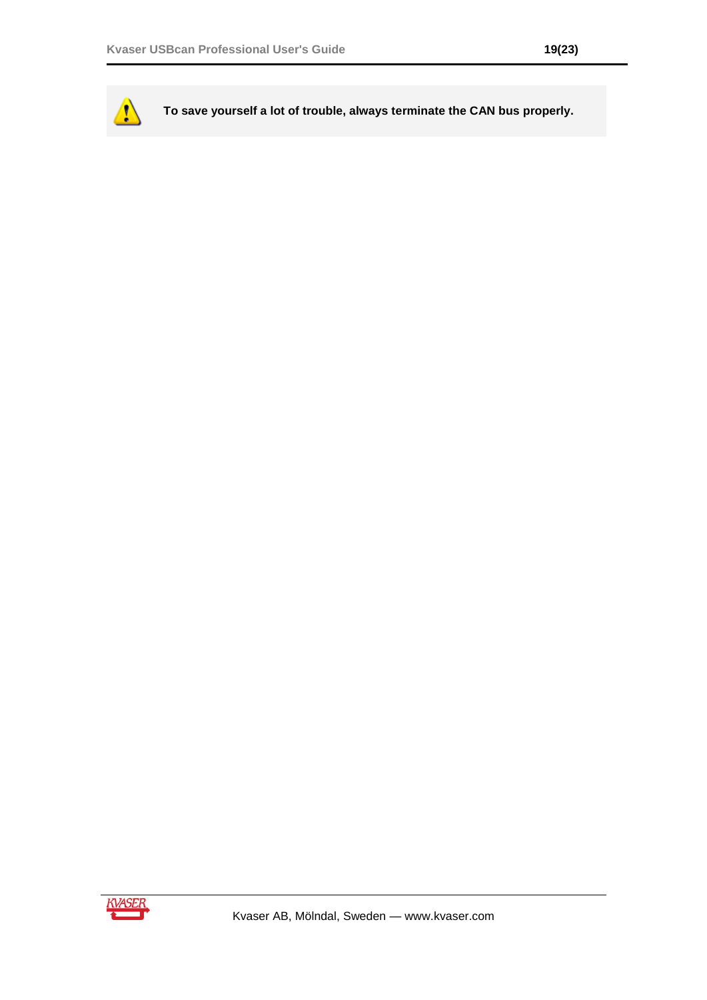

**To save yourself a lot of trouble, always terminate the CAN bus properly.**

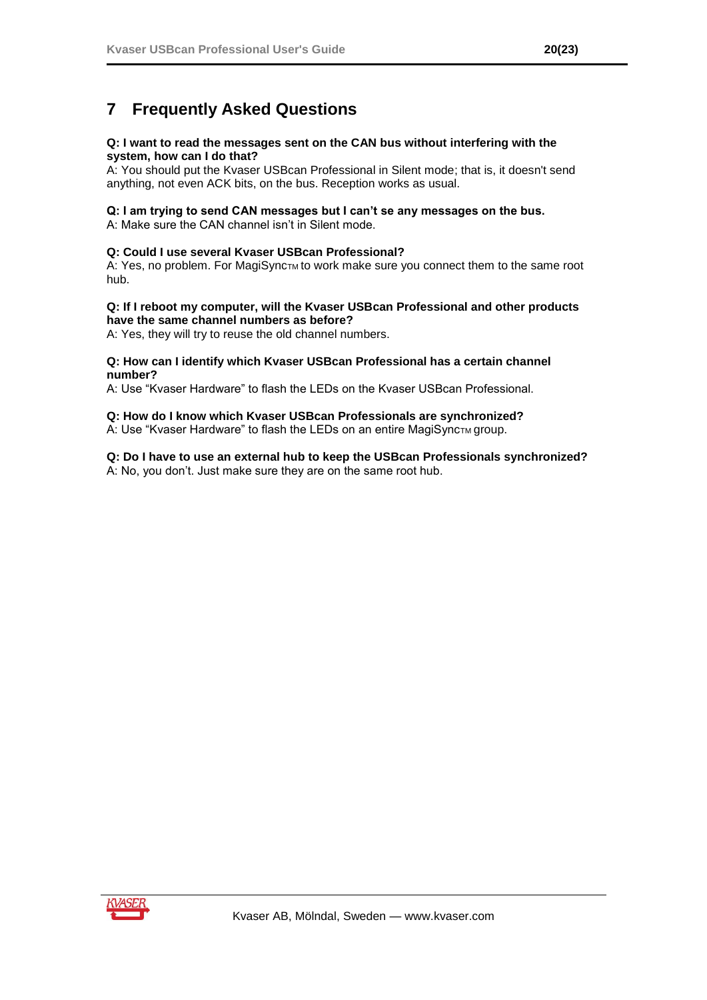# <span id="page-19-0"></span>**7 Frequently Asked Questions**

#### **Q: I want to read the messages sent on the CAN bus without interfering with the system, how can I do that?**

A: You should put the Kvaser USBcan Professional in Silent mode; that is, it doesn't send anything, not even ACK bits, on the bus. Reception works as usual.

#### **Q: I am trying to send CAN messages but I can't se any messages on the bus.**

A: Make sure the CAN channel isn't in Silent mode.

#### **Q: Could I use several Kvaser USBcan Professional?**

A: Yes, no problem. For MagiSyncTM to work make sure you connect them to the same root hub.

#### **Q: If I reboot my computer, will the Kvaser USBcan Professional and other products have the same channel numbers as before?**

A: Yes, they will try to reuse the old channel numbers.

#### **Q: How can I identify which Kvaser USBcan Professional has a certain channel number?**

A: Use "Kvaser Hardware" to flash the LEDs on the Kvaser USBcan Professional.

#### **Q: How do I know which Kvaser USBcan Professionals are synchronized?**

A: Use "Kvaser Hardware" to flash the LEDs on an entire MagiSyncTM group.

**Q: Do I have to use an external hub to keep the USBcan Professionals synchronized?** A: No, you don't. Just make sure they are on the same root hub.

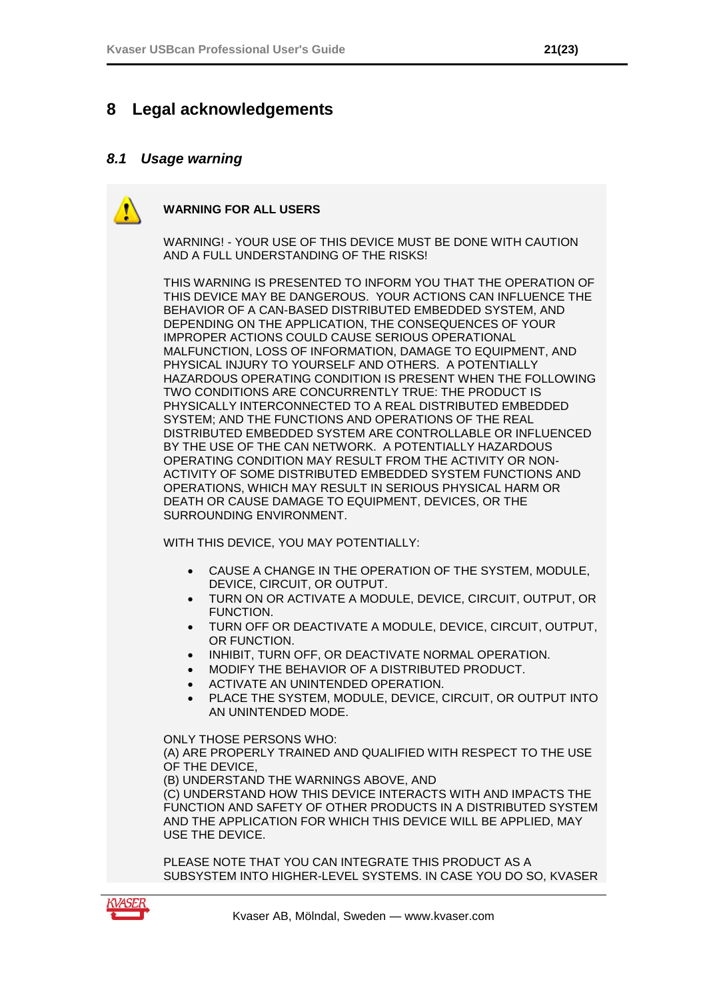# <span id="page-20-0"></span>**8 Legal acknowledgements**

#### <span id="page-20-1"></span>*8.1 Usage warning*



**WARNING FOR ALL USERS**

WARNING! - YOUR USE OF THIS DEVICE MUST BE DONE WITH CAUTION AND A FULL UNDERSTANDING OF THE RISKS!

THIS WARNING IS PRESENTED TO INFORM YOU THAT THE OPERATION OF THIS DEVICE MAY BE DANGEROUS. YOUR ACTIONS CAN INFLUENCE THE BEHAVIOR OF A CAN-BASED DISTRIBUTED EMBEDDED SYSTEM, AND DEPENDING ON THE APPLICATION, THE CONSEQUENCES OF YOUR IMPROPER ACTIONS COULD CAUSE SERIOUS OPERATIONAL MALFUNCTION, LOSS OF INFORMATION, DAMAGE TO EQUIPMENT, AND PHYSICAL INJURY TO YOURSELF AND OTHERS. A POTENTIALLY HAZARDOUS OPERATING CONDITION IS PRESENT WHEN THE FOLLOWING TWO CONDITIONS ARE CONCURRENTLY TRUE: THE PRODUCT IS PHYSICALLY INTERCONNECTED TO A REAL DISTRIBUTED EMBEDDED SYSTEM; AND THE FUNCTIONS AND OPERATIONS OF THE REAL DISTRIBUTED EMBEDDED SYSTEM ARE CONTROLLABLE OR INFLUENCED BY THE USE OF THE CAN NETWORK. A POTENTIALLY HAZARDOUS OPERATING CONDITION MAY RESULT FROM THE ACTIVITY OR NON-ACTIVITY OF SOME DISTRIBUTED EMBEDDED SYSTEM FUNCTIONS AND OPERATIONS, WHICH MAY RESULT IN SERIOUS PHYSICAL HARM OR DEATH OR CAUSE DAMAGE TO EQUIPMENT, DEVICES, OR THE SURROUNDING ENVIRONMENT.

WITH THIS DEVICE, YOU MAY POTENTIALLY:

- CAUSE A CHANGE IN THE OPERATION OF THE SYSTEM, MODULE, DEVICE, CIRCUIT, OR OUTPUT.
- TURN ON OR ACTIVATE A MODULE, DEVICE, CIRCUIT, OUTPUT, OR FUNCTION.
- TURN OFF OR DEACTIVATE A MODULE, DEVICE, CIRCUIT, OUTPUT, OR FUNCTION.
- INHIBIT, TURN OFF, OR DEACTIVATE NORMAL OPERATION.
- MODIFY THE BEHAVIOR OF A DISTRIBUTED PRODUCT.
- ACTIVATE AN UNINTENDED OPERATION.
- PLACE THE SYSTEM, MODULE, DEVICE, CIRCUIT, OR OUTPUT INTO AN UNINTENDED MODE.

ONLY THOSE PERSONS WHO:

(A) ARE PROPERLY TRAINED AND QUALIFIED WITH RESPECT TO THE USE OF THE DEVICE,

(B) UNDERSTAND THE WARNINGS ABOVE, AND

(C) UNDERSTAND HOW THIS DEVICE INTERACTS WITH AND IMPACTS THE FUNCTION AND SAFETY OF OTHER PRODUCTS IN A DISTRIBUTED SYSTEM AND THE APPLICATION FOR WHICH THIS DEVICE WILL BE APPLIED, MAY USE THE DEVICE.

PLEASE NOTE THAT YOU CAN INTEGRATE THIS PRODUCT AS A SUBSYSTEM INTO HIGHER-LEVEL SYSTEMS. IN CASE YOU DO SO, KVASER

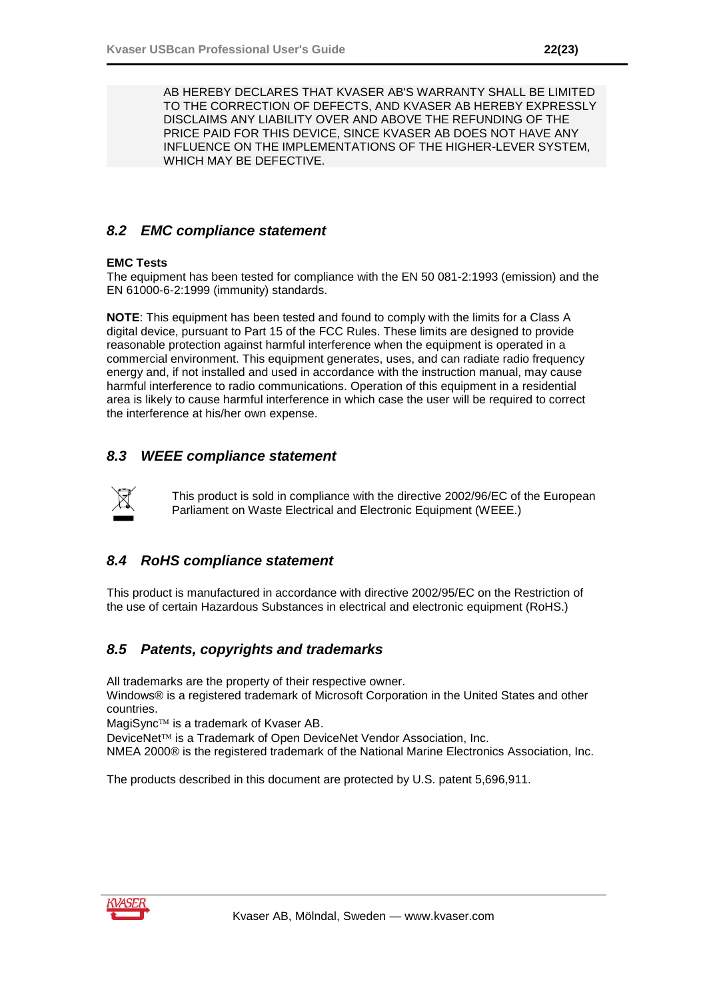AB HEREBY DECLARES THAT KVASER AB'S WARRANTY SHALL BE LIMITED TO THE CORRECTION OF DEFECTS, AND KVASER AB HEREBY EXPRESSLY DISCLAIMS ANY LIABILITY OVER AND ABOVE THE REFUNDING OF THE PRICE PAID FOR THIS DEVICE, SINCE KVASER AB DOES NOT HAVE ANY INFLUENCE ON THE IMPLEMENTATIONS OF THE HIGHER-LEVER SYSTEM, WHICH MAY BE DEFECTIVE.

#### <span id="page-21-0"></span>*8.2 EMC compliance statement*

#### **EMC Tests**

The equipment has been tested for compliance with the EN 50 081-2:1993 (emission) and the EN 61000-6-2:1999 (immunity) standards.

**NOTE**: This equipment has been tested and found to comply with the limits for a Class A digital device, pursuant to Part 15 of the FCC Rules. These limits are designed to provide reasonable protection against harmful interference when the equipment is operated in a commercial environment. This equipment generates, uses, and can radiate radio frequency energy and, if not installed and used in accordance with the instruction manual, may cause harmful interference to radio communications. Operation of this equipment in a residential area is likely to cause harmful interference in which case the user will be required to correct the interference at his/her own expense.

#### <span id="page-21-1"></span>*8.3 WEEE compliance statement*



This product is sold in compliance with the directive 2002/96/EC of the European Parliament on Waste Electrical and Electronic Equipment (WEEE.)

#### <span id="page-21-2"></span>*8.4 RoHS compliance statement*

This product is manufactured in accordance with directive 2002/95/EC on the Restriction of the use of certain Hazardous Substances in electrical and electronic equipment (RoHS.)

### <span id="page-21-3"></span>*8.5 Patents, copyrights and trademarks*

All trademarks are the property of their respective owner.

Windows® is a registered trademark of Microsoft Corporation in the United States and other countries.

MagiSync™ is a trademark of Kvaser AB.

DeviceNet<sup>™</sup> is a Trademark of Open DeviceNet Vendor Association, Inc.

NMEA 2000® is the registered trademark of the National Marine Electronics Association, Inc.

The products described in this document are protected by U.S. patent 5,696,911.